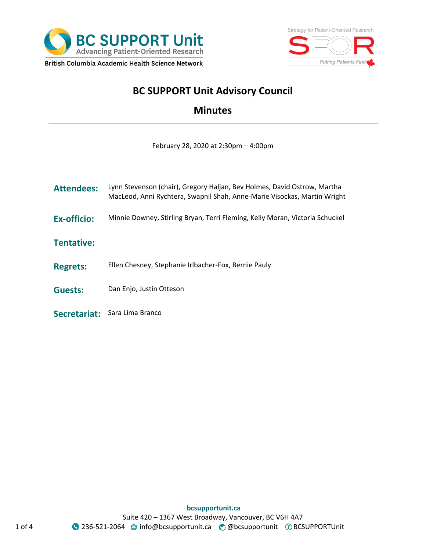



# **BC SUPPORT Unit Advisory Council**

## **Minutes**

February 28, 2020 at 2:30pm – 4:00pm

| <b>Attendees:</b>  | Lynn Stevenson (chair), Gregory Haljan, Bev Holmes, David Ostrow, Martha<br>MacLeod, Anni Rychtera, Swapnil Shah, Anne-Marie Visockas, Martin Wright |
|--------------------|------------------------------------------------------------------------------------------------------------------------------------------------------|
| <b>Ex-officio:</b> | Minnie Downey, Stirling Bryan, Terri Fleming, Kelly Moran, Victoria Schuckel                                                                         |
| <b>Tentative:</b>  |                                                                                                                                                      |
| <b>Regrets:</b>    | Ellen Chesney, Stephanie Irlbacher-Fox, Bernie Pauly                                                                                                 |
| <b>Guests:</b>     | Dan Enjo, Justin Otteson                                                                                                                             |
| Secretariat:       | Sara Lima Branco                                                                                                                                     |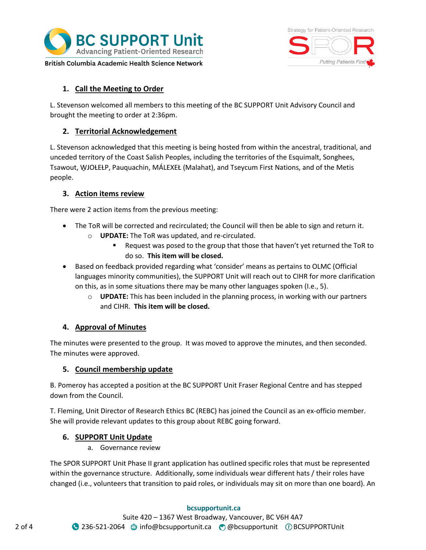



**1. Call the Meeting to Order**

L. Stevenson welcomed all members to this meeting of the BC SUPPORT Unit Advisory Council and brought the meeting to order at 2:36pm.

### **2. Territorial Acknowledgement**

L. Stevenson acknowledged that this meeting is being hosted from within the ancestral, traditional, and unceded territory of the Coast Salish Peoples, including the territories of the Esquimalt, Songhees, Tsawout, W̱JOȽEȽP, Pauquachin, MÁLEXEŁ (Malahat), and Tseycum First Nations, and of the Metis people.

#### **3. Action items review**

There were 2 action items from the previous meeting:

- The ToR will be corrected and recirculated; the Council will then be able to sign and return it.
	- o **UPDATE:** The ToR was updated, and re-circulated.
		- Request was posed to the group that those that haven't yet returned the ToR to do so. **This item will be closed.**
- Based on feedback provided regarding what 'consider' means as pertains to OLMC (Official languages minority communities), the SUPPORT Unit will reach out to CIHR for more clarification on this, as in some situations there may be many other languages spoken (I.e., 5).
	- o **UPDATE:** This has been included in the planning process, in working with our partners and CIHR. **This item will be closed.**

### **4. Approval of Minutes**

The minutes were presented to the group. It was moved to approve the minutes, and then seconded. The minutes were approved.

### **5. Council membership update**

B. Pomeroy has accepted a position at the BC SUPPORT Unit Fraser Regional Centre and has stepped down from the Council.

T. Fleming, Unit Director of Research Ethics BC (REBC) has joined the Council as an ex-officio member. She will provide relevant updates to this group about REBC going forward.

### **6. SUPPORT Unit Update**

a. Governance review

The SPOR SUPPORT Unit Phase II grant application has outlined specific roles that must be represented within the governance structure. Additionally, some individuals wear different hats / their roles have changed (i.e., volunteers that transition to paid roles, or individuals may sit on more than one board). An

### **bcsupportunit.ca**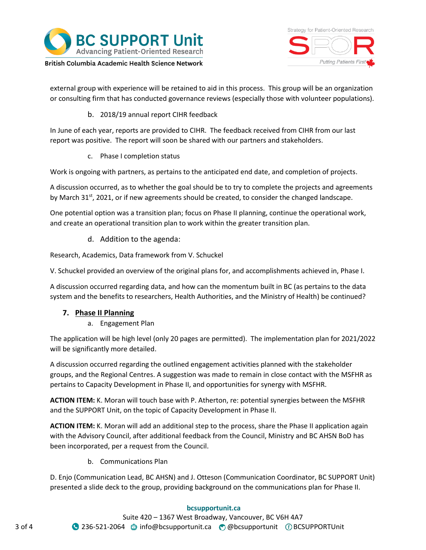

Strategy for Patient-Oriented Research Putting Patients First

British Columbia Academic Health Science Network

external group with experience will be retained to aid in this process. This group will be an organization or consulting firm that has conducted governance reviews (especially those with volunteer populations).

b. 2018/19 annual report CIHR feedback

In June of each year, reports are provided to CIHR. The feedback received from CIHR from our last report was positive. The report will soon be shared with our partners and stakeholders.

c. Phase I completion status

Work is ongoing with partners, as pertains to the anticipated end date, and completion of projects.

A discussion occurred, as to whether the goal should be to try to complete the projects and agreements by March 31<sup>st</sup>, 2021, or if new agreements should be created, to consider the changed landscape.

One potential option was a transition plan; focus on Phase II planning, continue the operational work, and create an operational transition plan to work within the greater transition plan.

d. Addition to the agenda:

Research, Academics, Data framework from V. Schuckel

V. Schuckel provided an overview of the original plans for, and accomplishments achieved in, Phase I.

A discussion occurred regarding data, and how can the momentum built in BC (as pertains to the data system and the benefits to researchers, Health Authorities, and the Ministry of Health) be continued?

### **7. Phase II Planning**

a. Engagement Plan

The application will be high level (only 20 pages are permitted). The implementation plan for 2021/2022 will be significantly more detailed.

A discussion occurred regarding the outlined engagement activities planned with the stakeholder groups, and the Regional Centres. A suggestion was made to remain in close contact with the MSFHR as pertains to Capacity Development in Phase II, and opportunities for synergy with MSFHR.

**ACTION ITEM:** K. Moran will touch base with P. Atherton, re: potential synergies between the MSFHR and the SUPPORT Unit, on the topic of Capacity Development in Phase II.

**ACTION ITEM:** K. Moran will add an additional step to the process, share the Phase II application again with the Advisory Council, after additional feedback from the Council, Ministry and BC AHSN BoD has been incorporated, per a request from the Council.

b. Communications Plan

D. Enjo (Communication Lead, BC AHSN) and J. Otteson (Communication Coordinator, BC SUPPORT Unit) presented a slide deck to the group, providing background on the communications plan for Phase II.

#### **bcsupportunit.ca**